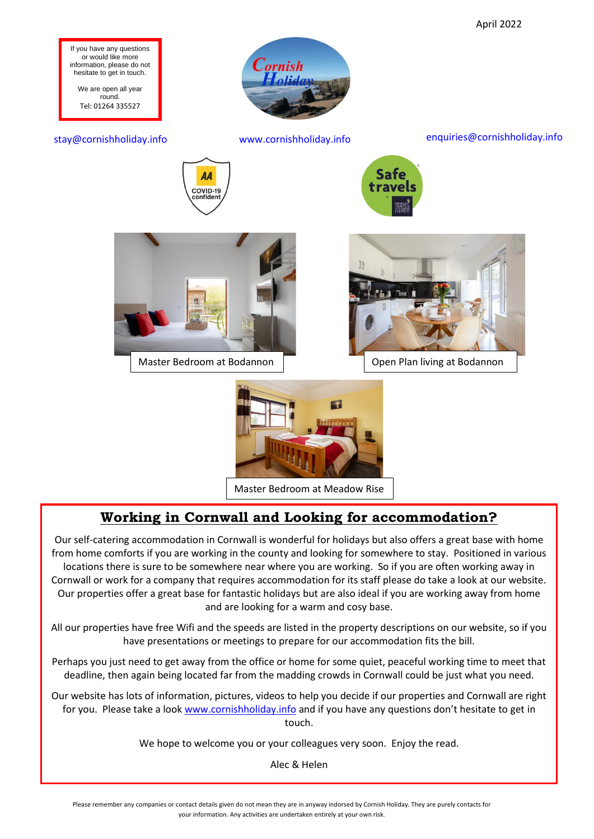

Master Bedroom at Meadow Rise

# **Working in Cornwall and Looking for accommodation?**

Our self-catering accommodation in Cornwall is wonderful for holidays but also offers a great base with home from home comforts if you are working in the county and looking for somewhere to stay. Positioned in various locations there is sure to be somewhere near where you are working. So if you are often working away in Cornwall or work for a company that requires accommodation for its staff please do take a look at our website. Our properties offer a great base for fantastic holidays but are also ideal if you are working away from home and are looking for a warm and cosy base.

All our properties have free Wifi and the speeds are listed in the property descriptions on our website, so if you have presentations or meetings to prepare for our accommodation fits the bill.

Perhaps you just need to get away from the office or home for some quiet, peaceful working time to meet that deadline, then again being located far from the madding crowds in Cornwall could be just what you need.

Our website has lots of information, pictures, videos to help you decide if our properties and Cornwall are right for you. Please take a look [www.cornishholiday.info](http://www.cornishholiday.info/) and if you have any questions don't hesitate to get in touch.

We hope to welcome you or your colleagues very soon. Enjoy the read.

Alec & Helen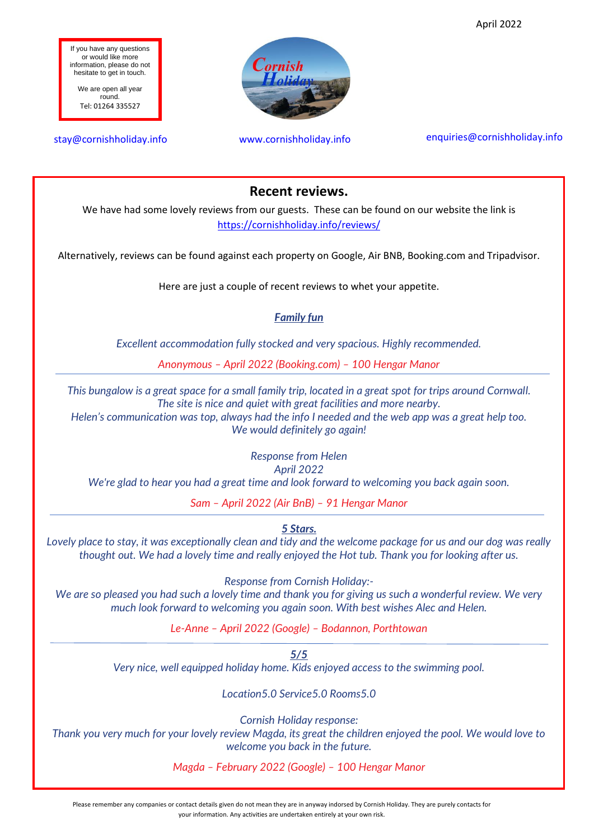April 2022



### **Recent reviews.**

We have had some lovely reviews from our guests. These can be found on our website the link is <https://cornishholiday.info/reviews/>

Alternatively, reviews can be found against each property on Google, Air BNB, Booking.com and Tripadvisor.

Here are just a couple of recent reviews to whet your appetite.

#### *Family fun*

*Excellent accommodation fully stocked and very spacious. Highly recommended.*

*Anonymous – April 2022 (Booking.com) – 100 Hengar Manor*

*This bungalow is a great space for a small family trip, located in a great spot for trips around Cornwall. The site is nice and quiet with great facilities and more nearby.*

*Helen's communication was top, always had the info I needed and the web app was a great help too. We would definitely go again!*

> *Response from Helen April 2022*

*We're glad to hear you had a great time and look forward to welcoming you back again soon.*

*Sam – April 2022 (Air BnB) – 91 Hengar Manor*

*5 Stars.*

*Lovely place to stay, it was exceptionally clean and tidy and the welcome package for us and our dog was really thought out. We had a lovely time and really enjoyed the Hot tub. Thank you for looking after us.*

*Response from Cornish Holiday:-*

*We are so pleased you had such a lovely time and thank you for giving us such a wonderful review. We very much look forward to welcoming you again soon. With best wishes Alec and Helen.*

*Le-Anne – April 2022 (Google) – Bodannon, Porthtowan*

*5/5 Very nice, well equipped holiday home. Kids enjoyed access to the swimming pool.*

*Location5.0 Service5.0 Rooms5.0*

*Cornish Holiday response:*

*Thank you very much for your lovely review Magda, its great the children enjoyed the pool. We would love to welcome you back in the future.*

*Magda – February 2022 (Google) – 100 Hengar Manor*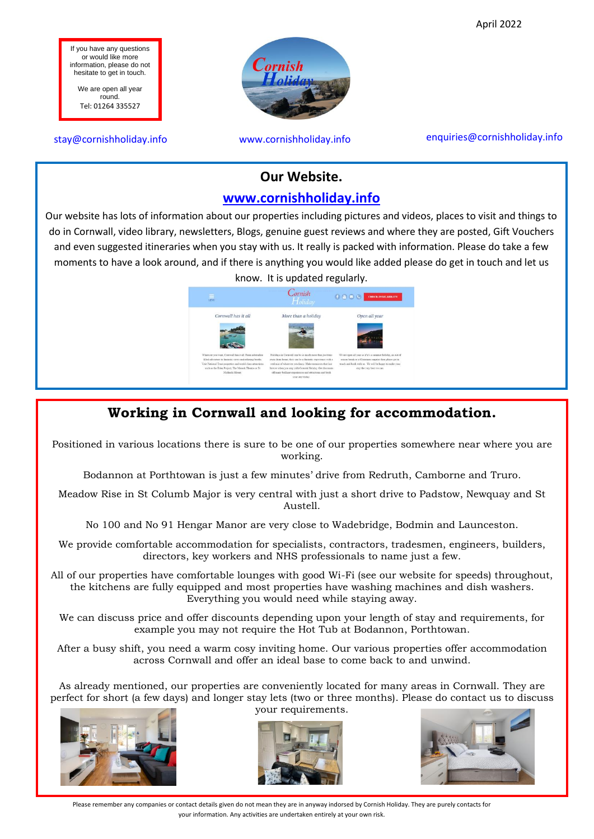April 2022

If you have any questions or would like more information, please do not hesitate to get in touch.

We are open all year round. Tel: 01264 335527



#### stay@cornishholiday.info www.cornishholiday.info enquiries@cornishholiday.info

### **Our Website.**

### **[www.cornishholiday.info](http://www.cornishholiday.info/)**

Our website has lots of information about our properties including pictures and videos, places to visit and things to do in Cornwall, video library, newsletters, Blogs, genuine guest reviews and where they are posted, Gift Vouchers and even suggested itineraries when you stay with us. It really is packed with information. Please do take a few moments to have a look around, and if there is anything you would like added please do get in touch and let us know. It is updated regularly.



# **Working in Cornwall and looking for accommodation.**

Positioned in various locations there is sure to be one of our properties somewhere near where you are working.

Bodannon at Porthtowan is just a few minutes' drive from Redruth, Camborne and Truro.

Meadow Rise in St Columb Major is very central with just a short drive to Padstow, Newquay and St Austell.

No 100 and No 91 Hengar Manor are very close to Wadebridge, Bodmin and Launceston.

We provide comfortable accommodation for specialists, contractors, tradesmen, engineers, builders, directors, key workers and NHS professionals to name just a few.

All of our properties have comfortable lounges with good Wi-Fi (see our website for speeds) throughout, the kitchens are fully equipped and most properties have washing machines and dish washers. Everything you would need while staying away.

We can discuss price and offer discounts depending upon your length of stay and requirements, for example you may not require the Hot Tub at Bodannon, Porthtowan.

After a busy shift, you need a warm cosy inviting home. Our various properties offer accommodation across Cornwall and offer an ideal base to come back to and unwind.

As already mentioned, our properties are conveniently located for many areas in Cornwall. They are perfect for short (a few days) and longer stay lets (two or three months). Please do contact us to discuss your requirements.







Please remember any companies or contact details given do not mean they are in anyway indorsed by Cornish Holiday. They are purely contacts for your information. Any activities are undertaken entirely at your own risk.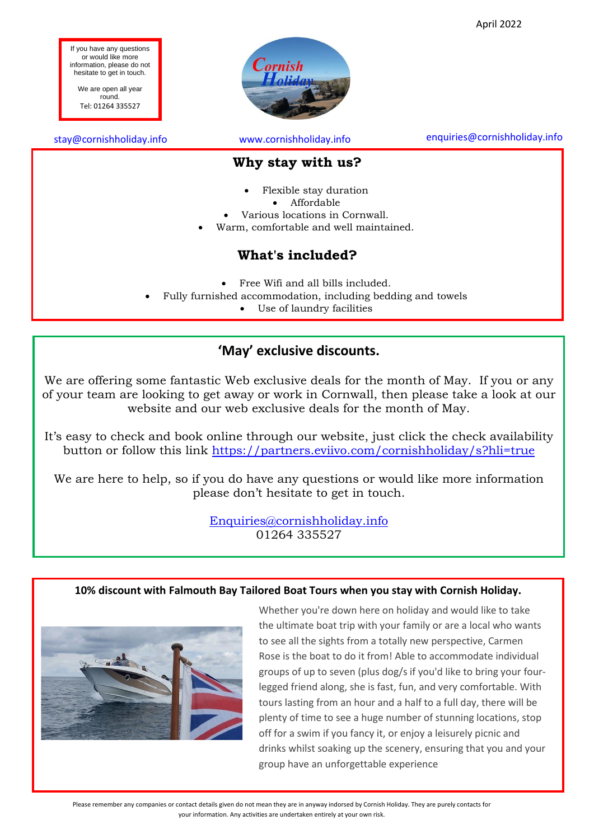

• Fully furnished accommodation, including bedding and towels

• Use of laundry facilities

## **'May' exclusive discounts.**

We are offering some fantastic Web exclusive deals for the month of May. If you or any of your team are looking to get away or work in Cornwall, then please take a look at our website and our web exclusive deals for the month of May.

It's easy to check and book online through our website, just click the check availability button or follow this link<https://partners.eviivo.com/cornishholiday/s?hli=true>

We are here to help, so if you do have any questions or would like more information please don't hesitate to get in touch.

> [Enquiries@cornishholiday.info](mailto:Enquiries@cornishholiday.info) 01264 335527

### **10% discount with Falmouth Bay Tailored Boat Tours when you stay with Cornish Holiday.**



Whether you're down here on holiday and would like to take the ultimate boat trip with your family or are a local who wants to see all the sights from a totally new perspective, Carmen Rose is the boat to do it from! Able to accommodate individual groups of up to seven (plus dog/s if you'd like to bring your fourlegged friend along, she is fast, fun, and very comfortable. With tours lasting from an hour and a half to a full day, there will be plenty of time to see a huge number of stunning locations, stop off for a swim if you fancy it, or enjoy a leisurely picnic and drinks whilst soaking up the scenery, ensuring that you and your group have an unforgettable experience

April 2022

Please remember any companies or contact details given do not mean they are in anyway indorsed by Cornish Holiday. They are purely contacts for your information. Any activities are undertaken entirely at your own risk.